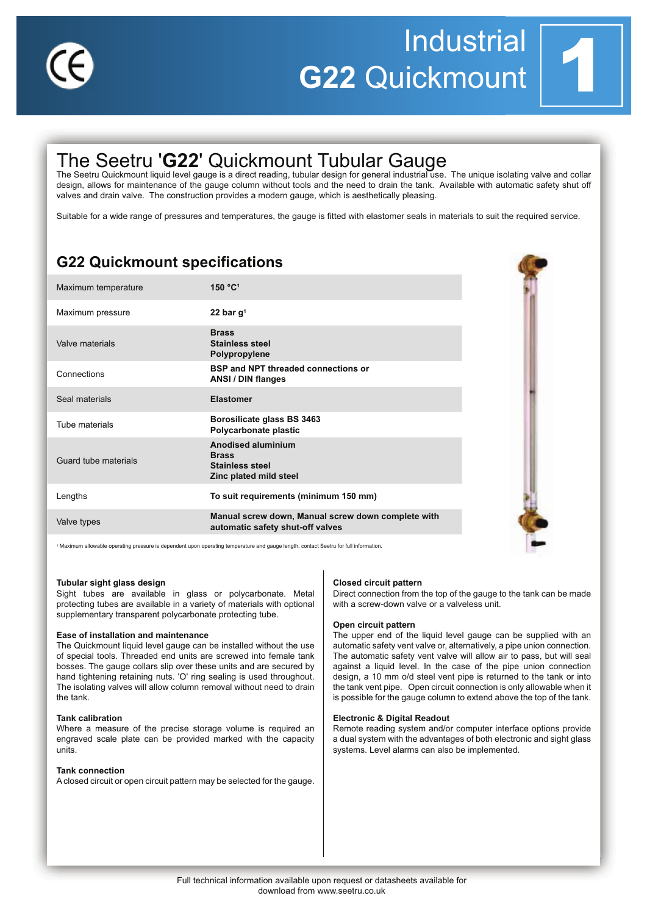

# **Industrial** G22 Quickmount



## The Seetru 'G22' Quickmount Tubular Gauge

The Seetru Quickmount liquid level gauge is a direct reading, tubular design for general industrial use. The unique isolating valve and collar design, allows for maintenance of the gauge column without tools and the need to drain the tank. Available with automatic safety shut off valves and drain valve. The construction provides a modern gauge, which is aesthetically pleasing.

Suitable for a wide range of pressures and temperatures, the gauge is fitted with elastomer seals in materials to suit the required service.

## **G22 Quickmount specifications**

| Maximum temperature  | 150 °C1                                                                                       |
|----------------------|-----------------------------------------------------------------------------------------------|
| Maximum pressure     | 22 bar $q1$                                                                                   |
| Valve materials      | <b>Brass</b><br><b>Stainless steel</b><br>Polypropylene                                       |
| Connections          | <b>BSP and NPT threaded connections or</b><br>ANSI / DIN flanges                              |
| Seal materials       | <b>Elastomer</b>                                                                              |
| Tube materials       | Borosilicate glass BS 3463<br>Polycarbonate plastic                                           |
| Guard tube materials | <b>Anodised aluminium</b><br><b>Brass</b><br><b>Stainless steel</b><br>Zinc plated mild steel |
| Lengths              | To suit requirements (minimum 150 mm)                                                         |
| Valve types          | Manual screw down, Manual screw down complete with<br>automatic safety shut-off valves        |

vable operating pressure is dependent upon operating temperature and gauge length, contact Seetru for full information

### Tubular sight glass design

Sight tubes are available in glass or polycarbonate. Metal protecting tubes are available in a variety of materials with optional supplementary transparent polycarbonate protecting tube.

### Ease of installation and maintenance

The Quickmount liquid level gauge can be installed without the use of special tools. Threaded end units are screwed into female tank bosses. The gauge collars slip over these units and are secured by hand tightening retaining nuts. 'O' ring sealing is used throughout. The isolating valves will allow column removal without need to drain the tank.

### **Tank calibration**

Where a measure of the precise storage volume is required an engraved scale plate can be provided marked with the capacity units

### **Tank connection**

A closed circuit or open circuit pattern may be selected for the gauge.

#### **Closed circuit pattern**

Direct connection from the top of the gauge to the tank can be made with a screw-down valve or a valveless unit.

### Open circuit pattern

The upper end of the liquid level gauge can be supplied with an automatic safety vent valve or, alternatively, a pipe union connection. The automatic safety vent valve will allow air to pass, but will seal against a liquid level. In the case of the pipe union connection design, a 10 mm o/d steel vent pipe is returned to the tank or into the tank vent pipe. Open circuit connection is only allowable when it is possible for the gauge column to extend above the top of the tank.

### **Electronic & Digital Readout**

Remote reading system and/or computer interface options provide a dual system with the advantages of both electronic and sight glass systems. Level alarms can also be implemented.